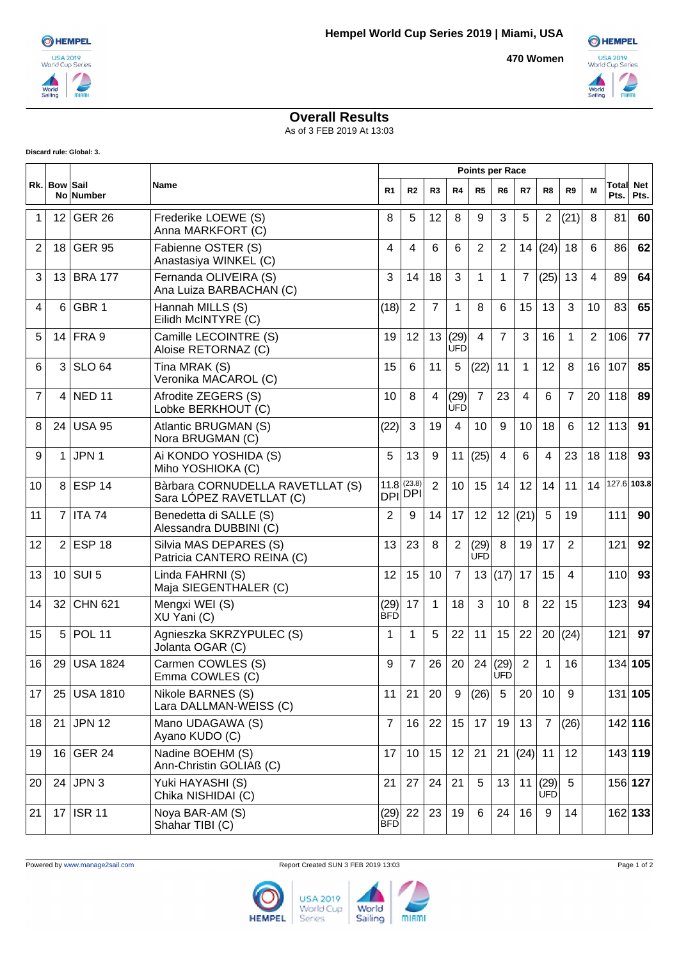**470 Women**



## **Overall Results**

As of 3 FEB 2019 At 13:03

**Discard rule: Global: 3.**

|    | Rk. Bow Sail    | <b>No Number</b> | Name                                                         | <b>Points per Race</b> |                          |                |                    |                    |                       |                |                      |                |    |               |                    |
|----|-----------------|------------------|--------------------------------------------------------------|------------------------|--------------------------|----------------|--------------------|--------------------|-----------------------|----------------|----------------------|----------------|----|---------------|--------------------|
|    |                 |                  |                                                              | R <sub>1</sub>         | R <sub>2</sub>           | R <sub>3</sub> | R <sub>4</sub>     | R <sub>5</sub>     | R <sub>6</sub>        | R7             | R8                   | R9             | M  | Total<br>Pts. | <b>Net</b><br>Pts. |
| 1  | 12              | <b>GER 26</b>    | Frederike LOEWE (S)<br>Anna MARKFORT (C)                     | 8                      | 5                        | 12             | 8                  | 9                  | 3                     | 5              | $\overline{2}$       | (21)           | 8  | 81            | 60                 |
| 2  | 18 <sup>1</sup> | <b>GER 95</b>    | Fabienne OSTER (S)<br>Anastasiya WINKEL (C)                  | 4                      | 4                        | 6              | 6                  | 2                  | $\overline{2}$        | 14             | (24)                 | 18             | 6  | 86            | 62                 |
| 3  | 13              | <b>BRA 177</b>   | Fernanda OLIVEIRA (S)<br>Ana Luiza BARBACHAN (C)             | 3                      | 14                       | 18             | 3                  | 1                  | 1                     | $\overline{7}$ | (25)                 | 13             | 4  | 89            | 64                 |
| 4  | 6               | GBR <sub>1</sub> | Hannah MILLS (S)<br>Eilidh McINTYRE (C)                      | (18)                   | $\overline{2}$           | $\overline{7}$ | $\mathbf 1$        | 8                  | 6                     | 15             | 13                   | 3              | 10 | 83            | 65                 |
| 5  |                 | 14 FRA 9         | Camille LECOINTRE (S)<br>Aloise RETORNAZ (C)                 | 19                     | 12                       | 13             | (29)<br><b>ÚFD</b> | $\overline{4}$     | $\overline{7}$        | 3              | 16                   | $\mathbf{1}$   | 2  | 106           | 77                 |
| 6  | 3               | <b>SLO 64</b>    | Tina MRAK (S)<br>Veronika MACAROL (C)                        | 15                     | 6                        | 11             | 5                  | (22)               | 11                    | 1              | 12                   | 8              | 16 | 107           | 85                 |
| 7  | 4               | <b>NED 11</b>    | Afrodite ZEGERS (S)<br>Lobke BERKHOUT (C)                    | 10                     | 8                        | 4              | (29)<br><b>ÚFD</b> | $\overline{7}$     | 23                    | 4              | 6                    | $\overline{7}$ | 20 | 118           | 89                 |
| 8  | 24              | <b>USA 95</b>    | Atlantic BRUGMAN (S)<br>Nora BRUGMAN (C)                     | (22)                   | 3                        | 19             | 4                  | 10                 | 9                     | 10             | 18                   | 6              | 12 | 113           | 91                 |
| 9  | 1               | JPN 1            | Ai KONDO YOSHIDA (S)<br>Miho YOSHIOKA (C)                    | 5                      | 13                       | 9              | 11                 | (25)               | 4                     | 6              | 4                    | 23             | 18 | 118           | 93                 |
| 10 | 8               | <b>ESP 14</b>    | Bàrbara CORNUDELLA RAVETLLAT (S)<br>Sara LÓPEZ RAVETLLAT (C) | 11.8                   | (23.8)<br><b>DPI</b> DPI | $\overline{2}$ | 10                 | 15                 | 14                    | 12             | 14                   | 11             | 14 |               | 127.6 103.8        |
| 11 | $\overline{7}$  | <b>ITA 74</b>    | Benedetta di SALLE (S)<br>Alessandra DUBBINI (C)             | 2                      | 9                        | 14             | 17                 | 12                 | 12                    | (21)           | 5                    | 19             |    | 111           | 90                 |
| 12 | $\overline{2}$  | <b>ESP 18</b>    | Silvia MAS DEPARES (S)<br>Patricia CANTERO REINA (C)         | 13                     | 23                       | 8              | 2                  | (29)<br><b>UFD</b> | 8                     | 19             | 17                   | $\overline{2}$ |    | 121           | 92                 |
| 13 | 10 <sup>°</sup> | SUI <sub>5</sub> | Linda FAHRNI (S)<br>Maja SIEGENTHALER (C)                    | 12                     | 15                       | 10             | $\overline{7}$     | 13                 | (17)                  | 17             | 15                   | $\overline{4}$ |    | 110           | 93                 |
| 14 | 32              | <b>CHN 621</b>   | Mengxi WEI (S)<br>XU Yani (C)                                | (29)<br>BFD            | 17                       | $\mathbf{1}$   | 18                 | 3                  | 10                    | 8              | 22                   | 15             |    | 123           | 94                 |
| 15 | 5               | <b>POL 11</b>    | Agnieszka SKRZYPULEC (S)<br>Jolanta OGAR (C)                 | 1                      | $\mathbf{1}$             | 5              | 22                 | 11                 | 15                    | 22             | 20                   | (24)           |    | 121           | 97                 |
| 16 |                 | 29 USA 1824      | Carmen COWLES (S)<br>Emma COWLES (C)                         | 9                      | 7                        | 26             | 20                 |                    | 24 (29)<br><b>UFD</b> | $\overline{2}$ | 1                    | 16             |    |               | 134 105            |
| 17 | 25              | <b>USA 1810</b>  | Nikole BARNES (S)<br>Lara DALLMAN-WEISS (C)                  | 11                     | 21                       | 20             | 9                  | (26)               | 5                     | 20             | 10                   | 9              |    |               | 131 105            |
| 18 | 21              | <b>JPN 12</b>    | Mano UDAGAWA (S)<br>Ayano KUDO (C)                           | $\overline{7}$         | 16                       | 22             | 15 <sub>15</sub>   | 17                 | 19                    | 13             | $\overline{7}$       | (26)           |    |               | 142 116            |
| 19 | 16              | <b>GER 24</b>    | Nadine BOEHM (S)<br>Ann-Christin GOLIAß (C)                  | 17                     | 10                       | 15             | 12                 | 21                 | 21                    | (24)           | 11                   | 12             |    |               | 143 119            |
| 20 |                 | $24$ JPN 3       | Yuki HAYASHI (S)<br>Chika NISHIDAI (C)                       | 21                     | 27                       | 24             | 21                 | 5                  | 13                    |                | 11(29)<br><b>UFD</b> | 5              |    |               | 156 127            |
| 21 | 17              | <b>ISR 11</b>    | Noya BAR-AM (S)<br>Shahar TIBI (C)                           | (29)<br><b>BFD</b>     | 22                       | 23             | 19                 | 6                  | 24                    | 16             | 9                    | 14             |    |               | 162 133            |